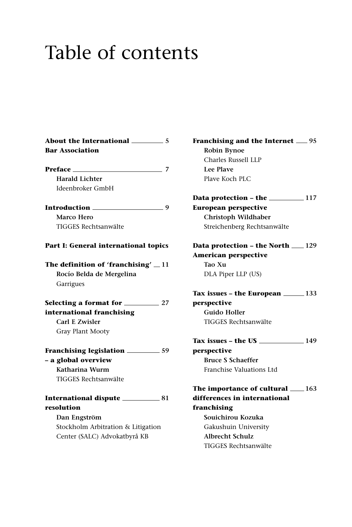## Table of contents

| <b>Bar Association</b>                                                                                                                                                                                                                                                              |    |
|-------------------------------------------------------------------------------------------------------------------------------------------------------------------------------------------------------------------------------------------------------------------------------------|----|
| Preface                                                                                                                                                                                                                                                                             | -7 |
| <b>Harald Lichter</b>                                                                                                                                                                                                                                                               |    |
| Ideenbroker GmbH                                                                                                                                                                                                                                                                    |    |
| Introduction<br>$\sim$ 0.000 $\sim$ 0.000 $\sim$ 0.000 $\sim$ 0.000 $\sim$ 0.000 $\sim$ 0.000 $\sim$ 0.000 $\sim$ 0.000 $\sim$ 0.000 $\sim$ 0.000 $\sim$ 0.000 $\sim$ 0.000 $\sim$ 0.000 $\sim$ 0.000 $\sim$ 0.000 $\sim$ 0.000 $\sim$ 0.000 $\sim$ 0.000 $\sim$ 0.000 $\sim$ 0.000 |    |
| Marco Hero                                                                                                                                                                                                                                                                          |    |
| TIGGES Rechtsanwälte                                                                                                                                                                                                                                                                |    |
| Part I: General international topics                                                                                                                                                                                                                                                |    |
| The definition of 'franchising' $\equiv$ 11                                                                                                                                                                                                                                         |    |
| Rocío Belda de Mergelina                                                                                                                                                                                                                                                            |    |
| Garrigues                                                                                                                                                                                                                                                                           |    |
|                                                                                                                                                                                                                                                                                     |    |
| international franchising                                                                                                                                                                                                                                                           |    |
| Carl E Zwisler                                                                                                                                                                                                                                                                      |    |
| Gray Plant Mooty                                                                                                                                                                                                                                                                    |    |
| Franchising legislation __________ 59                                                                                                                                                                                                                                               |    |
| - a global overview                                                                                                                                                                                                                                                                 |    |
| Katharina Wurm                                                                                                                                                                                                                                                                      |    |
| TIGGES Rechtsanwälte                                                                                                                                                                                                                                                                |    |
|                                                                                                                                                                                                                                                                                     |    |
| resolution                                                                                                                                                                                                                                                                          |    |
| Dan Engström                                                                                                                                                                                                                                                                        |    |
| Stockholm Arbitration & Litigation                                                                                                                                                                                                                                                  |    |
| Center (SALC) Advokatbyrå KB                                                                                                                                                                                                                                                        |    |
|                                                                                                                                                                                                                                                                                     |    |

**Franchising and the Internet 95 Robin Bynoe** Charles Russell LLP **Lee Plave** Plave Koch PLC

**Data protection – the \_\_\_\_\_\_\_\_\_\_\_ 117 European perspective Christoph Wildhaber** Streichenberg Rechtsanwälte

## **Data protection - the North**  $129$ **American perspective Tao Xu** DLA Piper LLP (US)

**Tax issues – the European 133 perspective Guido Holler** TIGGES Rechtsanwälte

**Tax issues – the US 149 perspective Bruce S Schaeffer** Franchise Valuations Ltd

**The importance of cultural 163 differences in international franchising Souichirou Kozuka** Gakushuin University **Albrecht Schulz**  TIGGES Rechtsanwälte